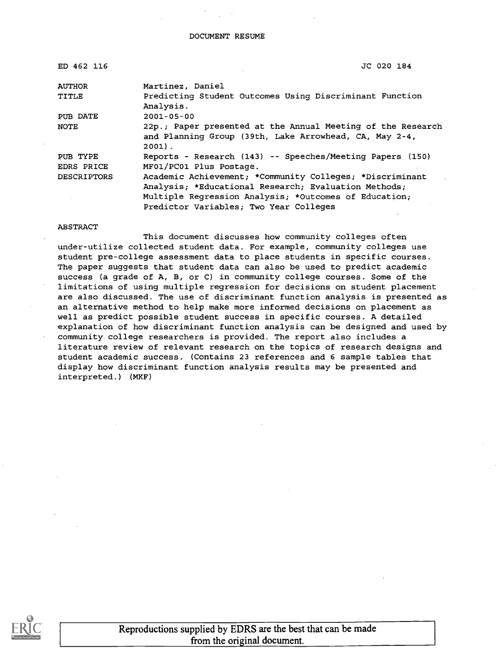| ED 462 116         | JC 020 184                                                                                                                        |
|--------------------|-----------------------------------------------------------------------------------------------------------------------------------|
| <b>AUTHOR</b>      | Martinez, Daniel                                                                                                                  |
| TITLE              | Predicting Student Outcomes Using Discriminant Function<br>Analysis.                                                              |
| PUB DATE           | $2001 - 05 - 00$                                                                                                                  |
| <b>NOTE</b>        | 22p.; Paper presented at the Annual Meeting of the Research<br>and Planning Group (39th, Lake Arrowhead, CA, May 2-4,<br>$2001$ . |
| PUB TYPE           | Reports - Research (143) -- Speeches/Meeting Papers (150)                                                                         |
| EDRS PRICE         | MF01/PC01 Plus Postage.                                                                                                           |
| <b>DESCRIPTORS</b> | Academic Achievement; *Community Colleges; *Discriminant                                                                          |
|                    | Analysis; *Educational Research; Evaluation Methods;                                                                              |
|                    | Multiple Regression Analysis; *Outcomes of Education;                                                                             |
|                    | Predictor Variables; Two Year Colleges                                                                                            |

#### ABSTRACT

This document discusses how community colleges often under-utilize collected student data. For example, community colleges use student pre-college assessment data to place students in specific courses. The paper suggests that student data can also be used to predict academic success (a grade of A, B, or C) in community college courses. Some of the limitations of using multiple regression for decisions on student placement are also discussed. The use of discriminant function analysis is presented as an alternative method to help make more informed decisions on placement as well as predict possible student success in specific courses. A detailed explanation of how discriminant function analysis can be designed and used by community college researchers is provided. The report also includes a literature review of relevant research on the topics of research designs and student academic success. (Contains 23 references and 6 sample tables that display how discriminant function analysis results may be presented and interpreted.) (MKF)



Reproductions supplied by EDRS are the best that can be made from the original document.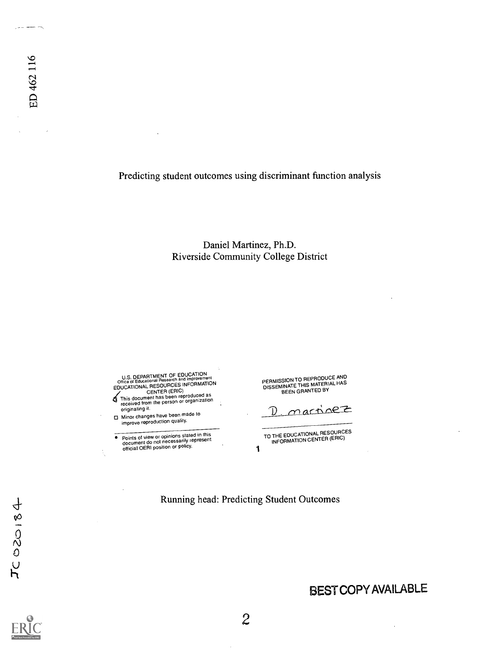Predicting student outcomes using discriminant function analysis

Daniel Martinez, Ph.D. Riverside Community College District

U.S. DEPARTMENT OF EDUCATION<br>
COME of Educational Research and Improvement<br>
CENTER (ERIC)<br>
This document has been reproduced as<br>
received from the person or organization<br>
received from the person or organization

originating it. O Minor changes have been made to improve reproduction quality.

Points of view or opinions stated in this<br>document do not necessarily represent official OERI position or policy.  $1$ 

PERMISSION TO REPRODUCE AND<br>DISSEMINATE THIS MATERIAL HAS<br>BEEN GRANTED BY

martinez D

TO THE EDUCATIONAL RESOURCES<br>INFORMATION CENTER (ERIC)

Running head: Predicting Student Outcomes

 $TC020184$ 

 $\sim$   $\sim$   $\sim$ 

ED 462 116

 $\mathcal{A}$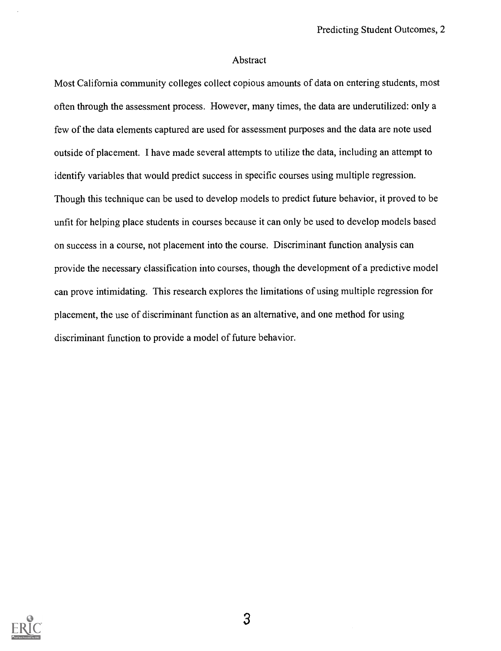#### Abstract

Most California community colleges collect copious amounts of data on entering students, most often through the assessment process. However, many times, the data are underutilized: only a few of the data elements captured are used for assessment purposes and the data are note used outside of placement. I have made several attempts to utilize the data, including an attempt to identify variables that would predict success in specific courses using multiple regression. Though this technique can be used to develop models to predict future behavior, it proved to be unfit for helping place students in courses because it can only be used to develop models based on success in a course, not placement into the course. Discriminant function analysis can provide the necessary classification into courses, though the development of a predictive model can prove intimidating. This research explores the limitations of using multiple regression for placement, the use of discriminant function as an alternative, and one method for using discriminant function to provide a model of future behavior.

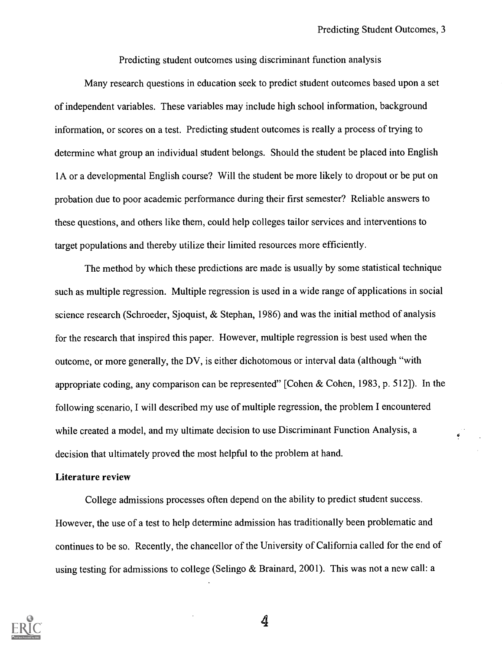Predicting student outcomes using discriminant function analysis

Many research questions in education seek to predict student outcomes based upon a set of independent variables. These variables may include high school information, background information, or scores on a test. Predicting student outcomes is really a process of trying to determine what group an individual student belongs. Should the student be placed into English lA or a developmental English course? Will the student be more likely to dropout or be put on probation due to poor academic performance during their first semester? Reliable answers to these questions, and others like them, could help colleges tailor services and interventions to target populations and thereby utilize their limited resources more efficiently.

The method by which these predictions are made is usually by some statistical technique such as multiple regression. Multiple regression is used in a wide range of applications in social science research (Schroeder, Sjoquist, & Stephan, 1986) and was the initial method of analysis for the research that inspired this paper. However, multiple regression is best used when the outcome, or more generally, the DV, is either dichotomous or interval data (although "with appropriate coding, any comparison can be represented" [Cohen & Cohen, 1983, p. 512]). In the following scenario, I will described my use of multiple regression, the problem I encountered while created a model, and my ultimate decision to use Discriminant Function Analysis, a decision that ultimately proved the most helpful to the problem at hand.

#### Literature review

College admissions processes often depend on the ability to predict student success. However, the use of a test to help determine admission has traditionally been problematic and continues to be so. Recently, the chancellor of the University of California called for the end of using testing for admissions to college (Selingo & Brainard, 2001). This was not a new call: a

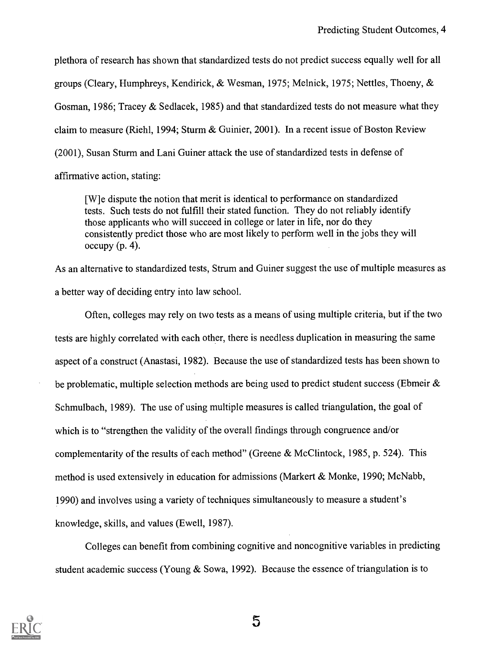plethora of research has shown that standardized tests do not predict success equally well for all groups (Cleary, Humphreys, Kendirick, & Wesman, 1975; Melnick, 1975; Nettles, Thoeny, & Gosman, 1986; Tracey & Sedlacek, 1985) and that standardized tests do not measure what they claim to measure (Riehl, 1994; Sturm & Guinier, 2001). In a recent issue of Boston Review (2001), Susan Sturm and Lani Guiner attack the use of standardized tests in defense of affirmative action, stating:

[W]e dispute the notion that merit is identical to performance on standardized tests. Such tests do not fulfill their stated function. They do not reliably identify those applicants who will succeed in college or later in life, nor do they consistently predict those who are most likely to perform well in the jobs they will  $occupy (p. 4)$ .

As an alternative to standardized tests, Strum and Guiner suggest the use of multiple measures as a better way of deciding entry into law school.

Often, colleges may rely on two tests as a means of using multiple criteria, but if the two tests are highly correlated with each other, there is needless duplication in measuring the same aspect of a construct (Anastasi, 1982). Because the use of standardized tests has been shown to be problematic, multiple selection methods are being used to predict student success (Ebmeir & Schmulbach, 1989). The use of using multiple measures is called triangulation, the goal of which is to "strengthen the validity of the overall findings through congruence and/or complementarity of the results of each method" (Greene & McClintock, 1985, p. 524). This method is used extensively in education for admissions (Markert & Monke, 1990; McNabb, 1990) and involves using a variety of techniques simultaneously to measure a student's knowledge, skills, and values (Ewell, 1987).

Colleges can benefit from combining cognitive and noncognitive variables in predicting student academic success (Young & Sowa, 1992). Because the essence of triangulation is to

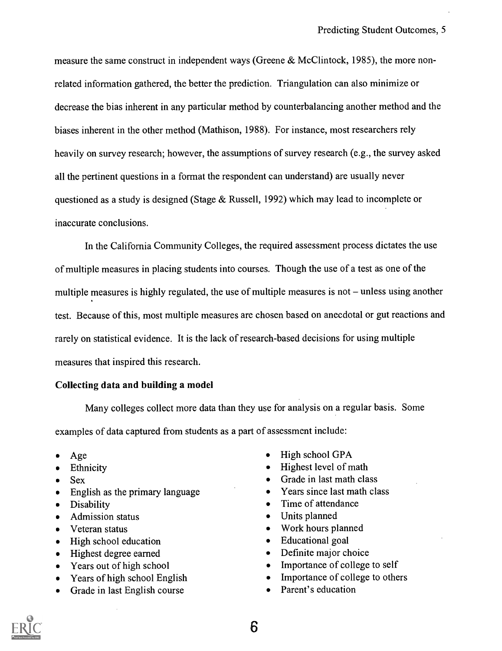measure the same construct in independent ways (Greene & McClintock, 1985), the more nonrelated information gathered, the better the prediction. Triangulation can also minimize or decrease the bias inherent in any particular method by counterbalancing another method and the biases inherent in the other method (Mathison, 1988). For instance, most researchers rely heavily on survey research; however, the assumptions of survey research (e.g., the survey asked all the pertinent questions in a format the respondent can understand) are usually never questioned as a study is designed (Stage & Russell, 1992) which may lead to incomplete or inaccurate conclusions.

In the California Community Colleges, the required assessment process dictates the use of multiple measures in placing students into courses. Though the use of a test as one of the multiple measures is highly regulated, the use of multiple measures is not  $-$  unless using another test. Because of this, most multiple measures are chosen based on anecdotal or gut reactions and rarely on statistical evidence. It is the lack of research-based decisions for using multiple measures that inspired this research.

#### Collecting data and building a model

Many colleges collect more data than they use for analysis on a regular basis. Some examples of data captured from students as a part of assessment include:

- 
- 
- 
- English as the primary language vectors of Vears since last math class  $\bullet$
- 
- 
- 
- $\bullet$
- $\bullet$
- $\bullet$
- $\bullet$
- Grade in last English course Parent's education
- Age High school GPA
- Ethnicity **Highest level of math**
- Sex Grade in last math class
	-
- Disability **Time of attendance**
- Admission status **Constanting Constanting Constanting Constanting Constanting Constanting Constanting Constanting Constanting Constanting Constanting Constanting Constanting Constanting Constanting Constanting Constanting**
- Veteran status Work hours planned
	- High school education **Education Contains Educational goal**
	- Highest degree earned **Definite major choice**
	- Years out of high school **IMPO** Importance of college to self
	- Years of high school English Importance of college to others
		-

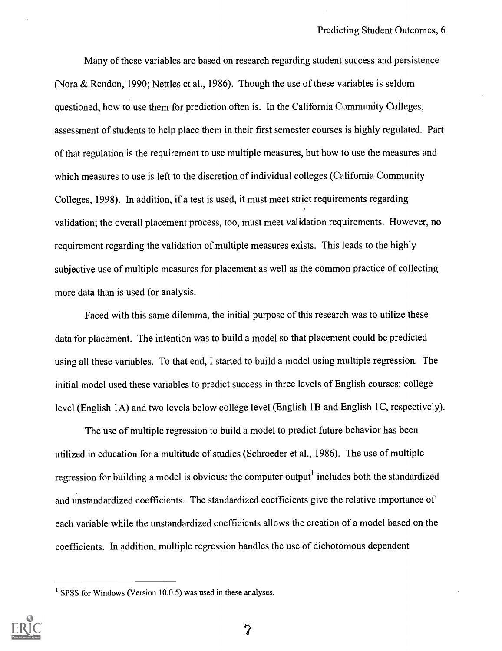Many of these variables are based on research regarding student success and persistence (Nora & Rendon, 1990; Nettles et al., 1986). Though the use of these variables is seldom questioned, how to use them for prediction often is. In the California Community Colleges, assessment of students to help place them in their first semester courses is highly regulated. Part of that regulation is the requirement to use multiple measures, but how to use the measures and which measures to use is left to the discretion of individual colleges (California Community Colleges, 1998). In addition, if a test is used, it must meet strict requirements regarding validation; the overall placement process, too, must meet validation requirements. However, no requirement regarding the validation of multiple measures exists. This leads to the highly subjective use of multiple measures for placement as well as the common practice of collecting more data than is used for analysis.

Faced with this same dilemma, the initial purpose of this research was to utilize these data for placement. The intention was to build a model so that placement could be predicted using all these variables. To that end, I started to build a model using multiple regression. The initial model used these variables to predict success in three levels of English courses: college level (English 1A) and two levels below college level (English 1B and English 1C, respectively).

The use of multiple regression to build a model to predict future behavior has been utilized in education for a multitude of studies (Schroeder et al., 1986). The use of multiple regression for building a model is obvious: the computer output<sup>1</sup> includes both the standardized and unstandardized coefficients. The standardized coefficients give the relative importance of each variable while the unstandardized coefficients allows the creation of a model based on the coefficients. In addition, multiple regression handles the use of dichotomous dependent

<sup>&</sup>lt;sup>1</sup> SPSS for Windows (Version 10.0.5) was used in these analyses.

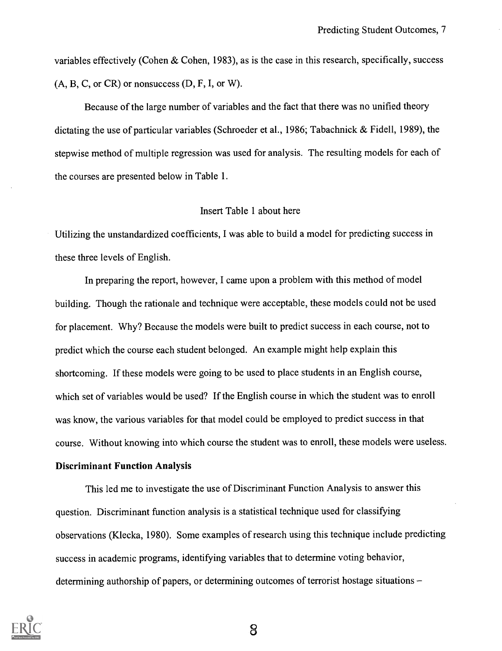variables effectively (Cohen & Cohen, 1983), as is the case in this research, specifically, success  $(A, B, C, or CR)$  or nonsuccess  $(D, F, I, or W)$ .

Because of the large number of variables and the fact that there was no unified theory dictating the use of particular variables (Schroeder et al., 1986; Tabachnick & Fidell, 1989), the stepwise method of multiple regression was used for analysis. The resulting models for each of the courses are presented below in Table 1.

#### Insert Table 1 about here

Utilizing the unstandardized coefficients, I was able to build a model for predicting success in these three levels of English.

In preparing the report, however, I came upon a problem with this method of model building. Though the rationale and technique were acceptable, these models could not be used for placement. Why? Because the models were built to predict success in each course, not to predict which the course each student belonged. An example might help explain this shortcoming. If these models were going to be used to place students in an English course, which set of variables would be used? If the English course in which the student was to enroll was know, the various variables for that model could be employed to predict success in that course. Without knowing into which course the student was to enroll, these models were useless.

#### Discriminant Function Analysis

This led me to investigate the use of Discriminant Function Analysis to answer this question. Discriminant function analysis is a statistical technique used for classifying observations (Klecka, 1980). Some examples of research using this technique include predicting success in academic programs, identifying variables that to determine voting behavior, determining authorship of papers, or determining outcomes of terrorist hostage situations –

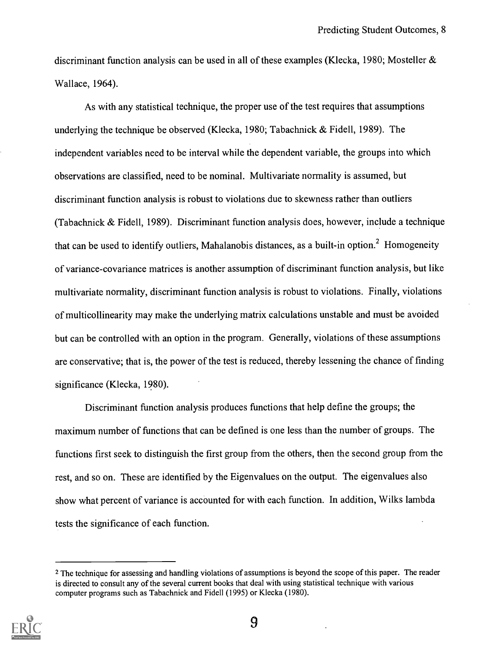discriminant function analysis can be used in all of these examples (Klecka, 1980; Mosteller & Wallace, 1964).

As with any statistical technique, the proper use of the test requires that assumptions underlying the technique be observed (Klecka, 1980; Tabachnick & Fidell, 1989). The independent variables need to be interval while the dependent variable, the groups into which observations are classified, need to be nominal. Multivariate normality is assumed, but discriminant function analysis is robust to violations due to skewness rather than outliers (Tabachnick & Fidell, 1989). Discriminant function analysis does, however, include a technique that can be used to identify outliers, Mahalanobis distances, as a built-in option.<sup>2</sup> Homogeneity of variance-covariance matrices is another assumption of discriminant function analysis, but like multivariate normality, discriminant function analysis is robust to violations. Finally, violations of multicollinearity may make the underlying matrix calculations unstable and must be avoided but can be controlled with an option in the program. Generally, violations of these assumptions are conservative; that is, the power of the test is reduced, thereby lessening the chance of finding significance (Klecka, 1980).

Discriminant function analysis produces functions that help define the groups; the maximum number of functions that can be defined is one less than the number of groups. The functions first seek to distinguish the first group from the others, then the second group from the rest, and so on. These are identified by the Eigenvalues on the output. The eigenvalues also show what percent of variance is accounted for with each function. In addition, Wilks lambda tests the significance of each function.

<sup>&</sup>lt;sup>2</sup> The technique for assessing and handling violations of assumptions is beyond the scope of this paper. The reader is directed to consult any of the several current books that deal with using statistical technique with various computer programs such as Tabachnick and Fidell (1995) or Klecka (1980).

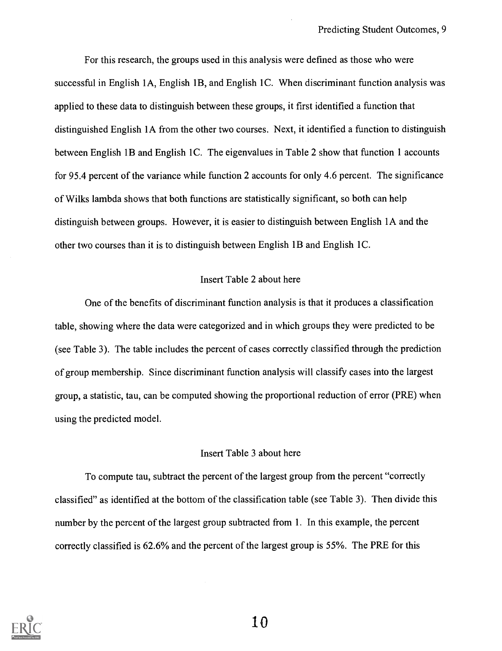For this research, the groups used in this analysis were defined as those who were successful in English 1A, English 1B, and English 1C. When discriminant function analysis was applied to these data to distinguish between these groups, it first identified a function that distinguished English 1A from the other two courses. Next, it identified a function to distinguish between English 1B and English 1C. The eigenvalues in Table 2 show that function 1 accounts for 95.4 percent of the variance while function 2 accounts for only 4.6 percent. The significance of Wilks lambda shows that both functions are statistically significant, so both can help distinguish between groups. However, it is easier to distinguish between English lA and the other two courses than it is to distinguish between English 1B and English 1C.

#### Insert Table 2 about here

One of the benefits of discriminant function analysis is that it produces a classification table, showing where the data were categorized and in which groups they were predicted to be (see Table 3). The table includes the percent of cases correctly classified through the prediction of group membership. Since discriminant function analysis will classify cases into the largest group, a statistic, tau, can be computed showing the proportional reduction of error (PRE) when using the predicted model.

#### Insert Table 3 about here

To compute tau, subtract the percent of the largest group from the percent "correctly classified" as identified at the bottom of the classification table (see Table 3). Then divide this number by the percent of the largest group subtracted from 1. In this example, the percent correctly classified is 62.6% and the percent of the largest group is 55%. The PRE for this

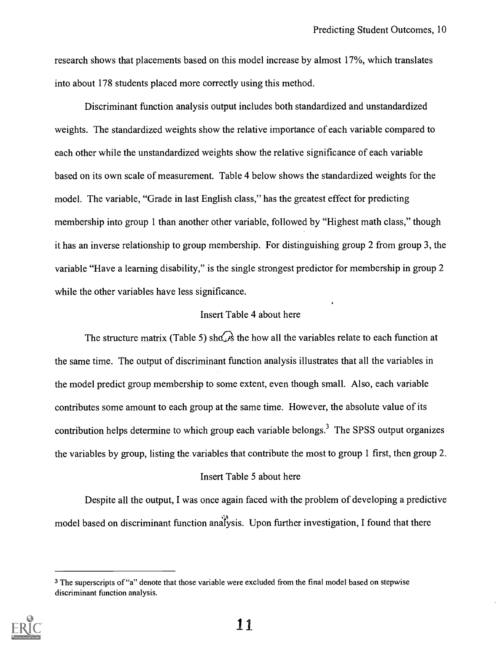research shows that placements based on this model increase by almost 17%, which translates into about 178 students placed more correctly using this method.

Discriminant function analysis output includes both standardized and unstandardized weights. The standardized weights show the relative importance of each variable compared to each other while the unstandardized weights show the relative significance of each variable based on its own scale of measurement. Table 4 below shows the standardized weights for the model. The variable, "Grade in last English class," has the greatest effect for predicting membership into group 1 than another other variable, followed by "Highest math class," though it has an inverse relationship to group membership. For distinguishing group 2 from group 3, the variable "Have a learning disability," is the single strongest predictor for membership in group 2 while the other variables have less significance.

#### Insert Table 4 about here

The structure matrix (Table 5) shows the how all the variables relate to each function at the same time. The output of discriminant function analysis illustrates that all the variables in the model predict group membership to some extent, even though small. Also, each variable contributes some amount to each group at the same time. However, the absolute value of its contribution helps determine to which group each variable belongs.<sup>3</sup> The SPSS output organizes the variables by group, listing the variables that contribute the most to group 1 first, then group 2.

#### Insert Table 5 about here

Despite all the output, I was once again faced with the problem of developing a predictive model based on discriminant function analysis. Upon further investigation, I found that there

<sup>3</sup> The superscripts of "a" denote that those variable were excluded from the final model based on stepwise discriminant function analysis.

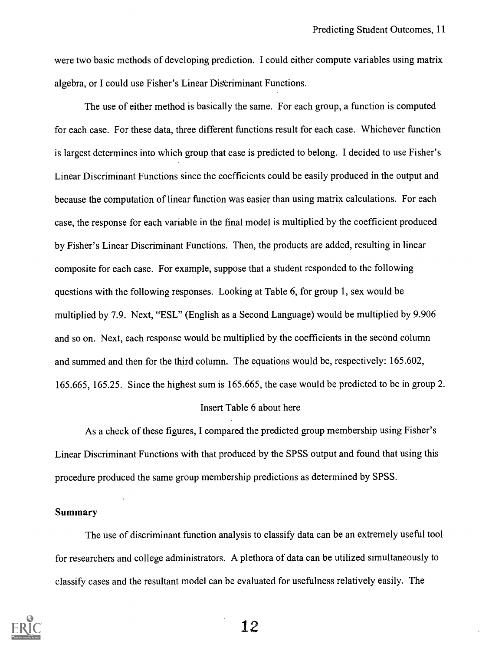were two basic methods of developing prediction. I could either compute variables using matrix algebra, or I could use Fisher's Linear Discriminant Functions.

The use of either method is basically the same. For each group, a function is computed for each case. For these data, three different functions result for each case. Whichever function is largest determines into which group that case is predicted to belong. I decided to use Fisher's Linear Discriminant Functions since the coefficients could be easily produced in the output and because the computation of linear function was easier than using matrix calculations. For each case, the response for each variable in the final model is multiplied by the coefficient produced by Fisher's Linear Discriminant Functions. Then, the products are added, resulting in linear composite for each case. For example, suppose that a student responded to the following questions with the following responses. Looking at Table 6, for group 1, sex would be multiplied by 7.9. Next, "ESL" (English as a Second Language) would be multiplied by 9.906 and so on. Next, each response would be multiplied by the coefficients in the second column and summed and then for the third column. The equations would be, respectively: 165.602, 165.665, 165.25. Since the highest sum is 165.665, the case would be predicted to be in group 2.

#### Insert Table 6 about here

As a check of these figures, I compared the predicted group membership using Fisher's Linear Discriminant Functions with that produced by the SPSS output and found that using this procedure produced the same group membership predictions as determined by SPSS.

#### Summary

The use of discriminant function analysis to classify data can be an extremely useful tool for researchers and college administrators. A plethora of data can be utilized simultaneously to classify cases and the resultant model can be evaluated for usefulness relatively easily. The

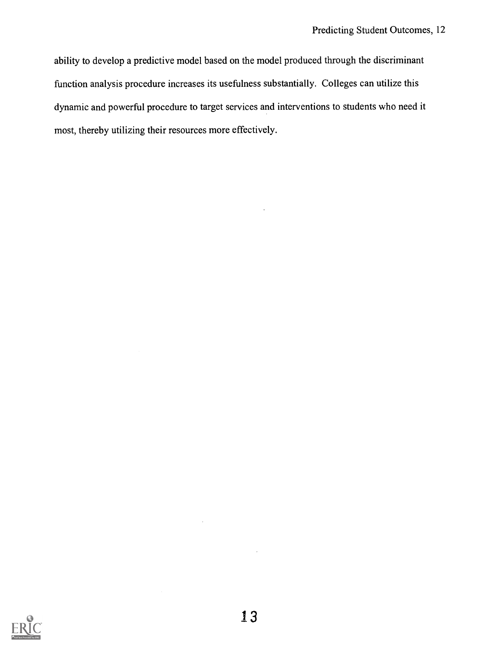ability to develop a predictive model based on the model produced through the discriminant function analysis procedure increases its usefulness substantially. Colleges can utilize this dynamic and powerful procedure to target services and interventions to students who need it most, thereby utilizing their resources more effectively.

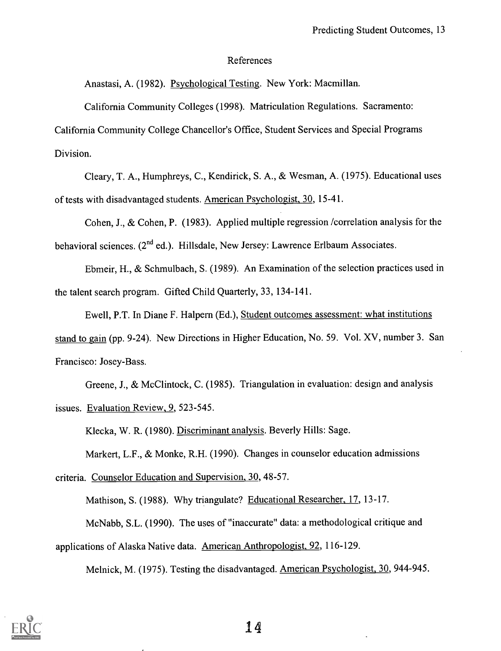#### References

Anastasi, A. (1982). Psychological Testing. New York: Macmillan.

California Community Colleges (1998). Matriculation Regulations. Sacramento:

California Community College Chancellor's Office, Student Services and Special Programs Division.

Cleary, T. A., Humphreys, C., Kendirick, S. A., & Wesman, A. (1975). Educational uses of tests with disadvantaged students. American Psychologist, 30, 15-41.

Cohen, J., & Cohen, P. (1983). Applied multiple regression /correlation analysis for the behavioral sciences.  $(2^{nd}$  ed.). Hillsdale, New Jersey: Lawrence Erlbaum Associates.

Ebmeir, H., & Schmulbach, S. (1989). An Examination of the selection practices used in the talent search program. Gifted Child Quarterly, 33, 134-141.

Ewell, P.T. In Diane F. Halpern (Ed.), Student outcomes assessment: what institutions stand to gain (pp. 9-24). New Directions in Higher Education, No. 59. Vol. XV, number 3. San Francisco: Josey-Bass.

Greene, J., & McClintock, C. (1985). Triangulation in evaluation: design and analysis issues. Evaluation Review, 9, 523-545.

Klecka, W. R. (1980). Discriminant analysis. Beverly Hills: Sage.

Markert, L.F., & Monke, R.H. (1990). Changes in counselor education admissions

criteria. Counselor Education and Supervision, 30, 48-57.

Mathison, S. (1988). Why triangulate? Educational Researcher, 17, 13-17.

McNabb, S.L. (1990). The uses of "inaccurate" data: a methodological critique and

applications of Alaska Native data. American Anthropologist, 92, 116-129.

Melnick, M. (1975). Testing the disadvantaged. American Psychologist, 30, 944-945.

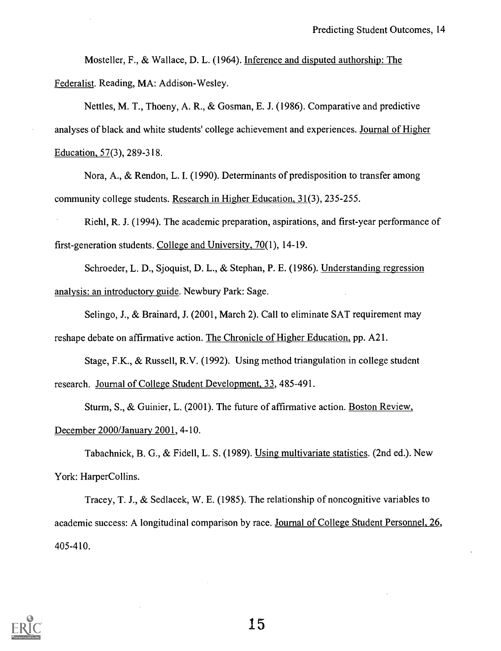Mosteller, F., & Wallace, D. L. (1964). Inference and disputed authorship: The Federalist. Reading, MA: Addison-Wesley.

Nettles, M. T., Thoeny, A. R., & Gosman, E. J. (1986). Comparative and predictive analyses of black and white students' college achievement and experiences. Journal of Higher Education, 57(3), 289-318.

Nora, A., & Rendon, L. I. (1990). Determinants of predisposition to transfer among community college students. Research in Higher Education, 31(3), 235-255.

Riehl, R. J. (1994). The academic preparation, aspirations, and first-year performance of first-generation students. College and University, 70(1), 14-19.

Schroeder, L. D., Sjoquist, D. L., & Stephan, P. E. (1986). Understanding regression analysis: an introductory guide. Newbury Park: Sage.

Selingo, J., & Brainard, J. (2001, March 2). Call to eliminate SAT requirement may reshape debate on affirmative action. The Chronicle of Higher Education, pp. A21.

Stage, F.K., & Russell, R.V. (1992). Using method triangulation in college student research. Journal of College Student Development, 33, 485-491.

Sturm, S., & Guinier, L. (2001). The future of affirmative action. Boston Review, December 2000/January 2001, 4-10.

Tabachnick, B. G., & Fidell, L. S. (1989). Using multivariate statistics. (2nd ed.). New York: HarperCollins.

Tracey, T. J., & Sedlacek, W. E. (1985). The relationship of noncognitive variables to academic success: A longitudinal comparison by race. Journal of College Student Personnel, 26, 405-410.

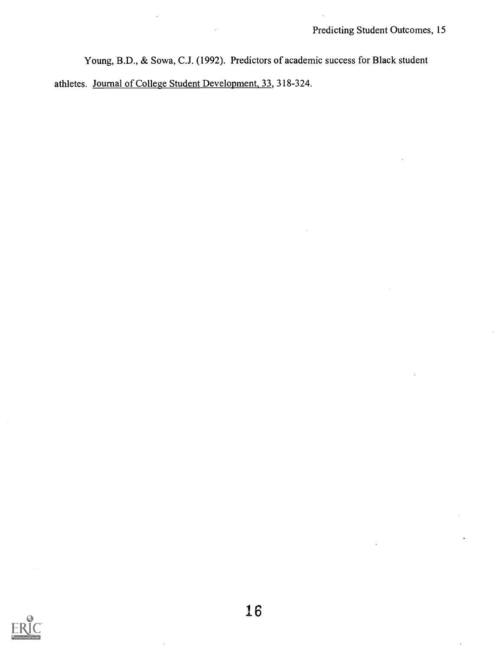Young, B.D., & Sowa, C.J. (1992). Predictors of academic success for Black student

athletes. Journal of College Student Development, 33, 318-324.

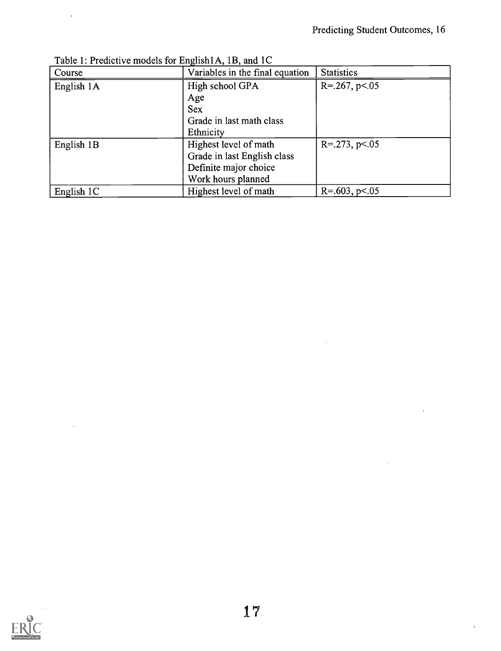J.

 $\ddot{\phantom{0}}$ 

| Course     | Variables in the final equation | <b>Statistics</b>    |
|------------|---------------------------------|----------------------|
| English 1A | High school GPA                 | $R = 267$ , $p < 05$ |
|            | Age                             |                      |
|            | <b>Sex</b>                      |                      |
|            | Grade in last math class        |                      |
|            | Ethnicity                       |                      |
| English 1B | Highest level of math           | $R = 273$ , $p < 05$ |
|            | Grade in last English class     |                      |
|            | Definite major choice           |                      |
|            | Work hours planned              |                      |
| English 1C | Highest level of math           | $R = 603$ , $p < 05$ |

Table 1: Predictive models for English1A, 1B, and 1C

 $\overline{\phantom{a}}$ 

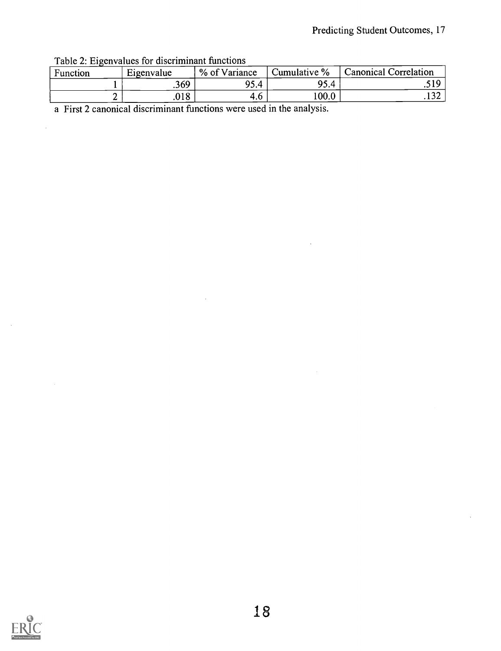Table 2: Eigenvalues for discriminant functions

 $\overline{\phantom{a}}$ 

 $\hat{\boldsymbol{\beta}}$ 

| Function | Eigenvalue | % of Variance | Cumulative % | al Correlation<br>danonical <i>:</i> |
|----------|------------|---------------|--------------|--------------------------------------|
|          | .369       | 95.4<br>Δ     | 95.4         | 510<br>.                             |
|          | .018       | 4.O           | 100.0        | .132                                 |

a First 2 canonical discriminant functions were used in the analysis.

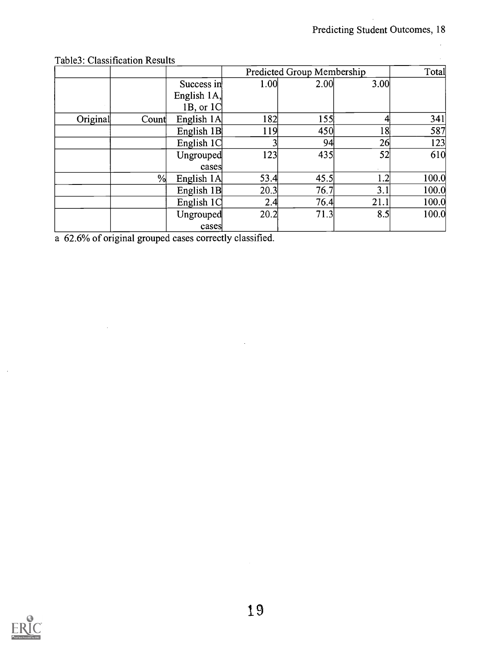$\bar{z}$ 

|          |       |                              | Predicted Group Membership |      |      | Total |
|----------|-------|------------------------------|----------------------------|------|------|-------|
|          |       | Success in<br>English $1A$ , | 1.00                       | 2.00 | 3.00 |       |
| Original | Count | 1B, or $1C$<br>English 1A    | 182                        | 155  |      | 341   |
|          |       | English 1B                   | 119                        | 450  | 8    | 587   |
|          |       | English 1C                   |                            | 94   | 26   | 123   |
|          |       | Ungrouped<br>cases           | 123                        | 435  | 52   | 610   |
|          | %     | English 1A                   | 53.4                       | 45.5 | 1.2  | 100.0 |
|          |       | English 1B                   | 20.3                       | 76.7 | 3.1  | 100.0 |
|          |       | English 1C                   | 2.4                        | 76.4 | 21.1 | 100.0 |
|          |       | Ungrouped                    | 20.2                       | 71.3 | 8.5  | 100.0 |
|          |       | cases                        |                            |      |      |       |

### Table3: Classification Results

 $\sim$   $\sim$ 

a 62.6% of original grouped cases correctly classified.



 $\ddot{\phantom{a}}$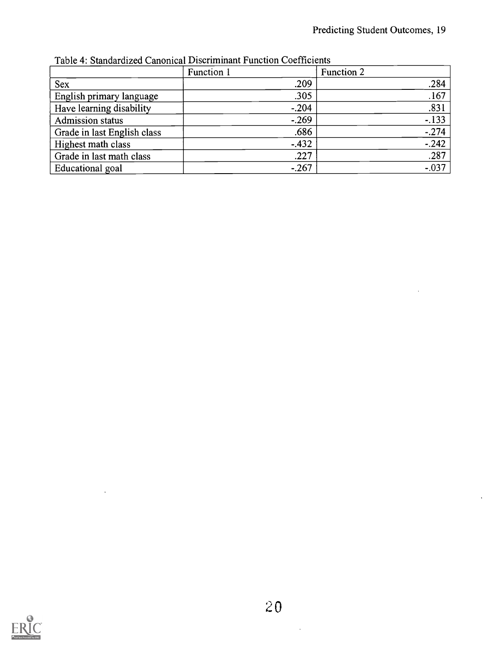|                             | Function 1 | Function 2 |  |
|-----------------------------|------------|------------|--|
| Sex                         | .209       | .284       |  |
| English primary language    | .305       | .167       |  |
| Have learning disability    | $-.204$    | .831       |  |
| <b>Admission status</b>     | $-.269$    | $-.133$    |  |
| Grade in last English class | .686       | $-274$     |  |
| Highest math class          | $-.432$    | $-.242$    |  |
| Grade in last math class    | .227       | .287       |  |
| Educational goal            | $-.267$    | $-.037$    |  |

Table 4: Standardized Canonical Discriminant Function Coefficients

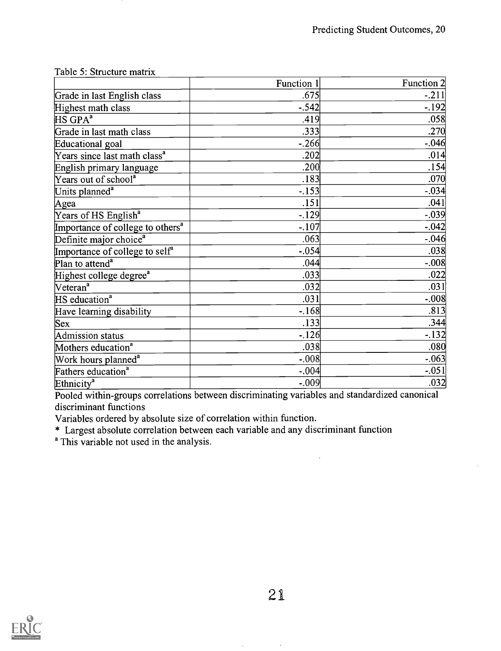|                                              | Function 1 | Function 2 |  |
|----------------------------------------------|------------|------------|--|
| Grade in last English class                  | .675       | $-.211$    |  |
| Highest math class                           | $-.542$    | $-.192$    |  |
| $HS$ GPA <sup>a</sup>                        | .419       | .058       |  |
| Grade in last math class                     | .333       | .270       |  |
| Educational goal                             | $-.266$    | $-0.046$   |  |
| Years since last math class <sup>a</sup>     | .202       | .014       |  |
| English primary language                     | .200       | .154       |  |
| Years out of school <sup>a</sup>             | .183       | .070       |  |
| Units planned <sup>a</sup>                   | $-153$     | $-.034$    |  |
| Agea                                         | .151       | .041       |  |
| Years of HS English <sup>a</sup>             | $-129$     | $-.039$    |  |
| Importance of college to others <sup>a</sup> | $-.107$    | $-0.042$   |  |
| Definite major choice <sup>a</sup>           | .063       | $-.046$    |  |
| Importance of college to self <sup>a</sup>   | $-.054$    | .038       |  |
| Plan to attend <sup>a</sup>                  | .044       | $-.008$    |  |
| Highest college degree <sup>a</sup>          | .033       | .022       |  |
| Veteran <sup>a</sup>                         | .032       | .031       |  |
| HS education <sup>a</sup>                    | .031       | $-.008$    |  |
| Have learning disability                     | $-.168$    | .813       |  |
| $ $ Sex                                      | .133       | .344       |  |
| Admission status                             | $-.126$    | $-132$     |  |
| Mothers education <sup>a</sup>               | .038       | .080       |  |
| Work hours planned <sup>a</sup>              | $-.008$    | $-.063$    |  |
| Fathers education <sup>a</sup>               | $-.004$    | $-.051$    |  |
| Ethnicity <sup>a</sup>                       | $-.009$    | .032       |  |

Table 5: Structure matrix

Pooled within-groups correlations between discriminating variables and standardized canonical discriminant functions

Variables ordered by absolute size of correlation within function.

\* Largest absolute correlation between each variable and any discriminant function

<sup>a</sup> This variable not used in the analysis.



 $21$ 

 $\ddot{\phantom{a}}$ 

 $\ddot{\phantom{a}}$ 

 $\ddot{\phantom{1}}$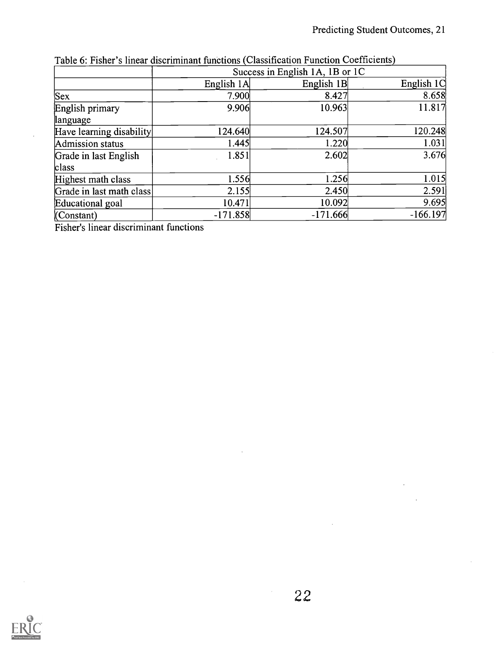|                          |            | Success in English 1A, 1B or 1C |            |
|--------------------------|------------|---------------------------------|------------|
|                          | English 1A | English 1B                      | English 1C |
| Sex                      | 7.900      | 8.427                           | 8.658      |
| English primary          | 9.906      | 10.963                          | 11.817     |
| language                 |            |                                 |            |
| Have learning disability | 124.640    | 124.507                         | 120.248    |
| Admission status         | 1.445      | 1.220                           | 1.031      |
| Grade in last English    | 1.851      | 2.602                           | 3.676      |
| class                    |            |                                 |            |
| Highest math class       | 1.556      | 1.256                           | 1.015      |
| Grade in last math class | 2.155      | 2.450                           | 2.591      |
| Educational goal         | 10.471     | 10.092                          | 9.695      |
| (Constant)               | $-171.858$ | $-171.666$                      | $-166.197$ |

Table 6: Fisher's linear discriminant functions Classification Function Coefficients

Fisher's linear discriminant functions

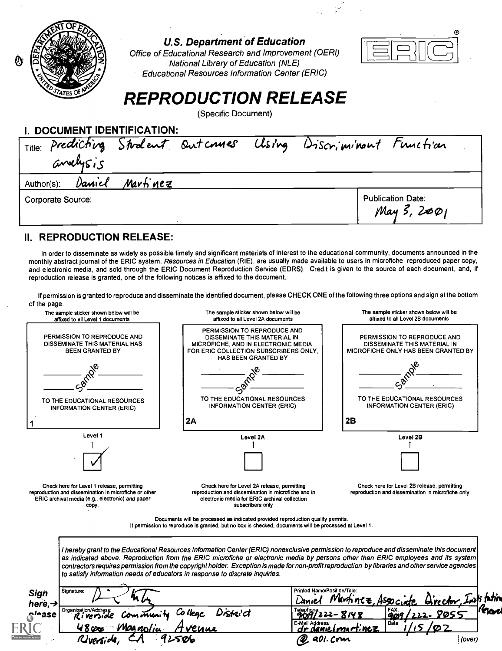

**U.S. Department of Education** 

Office of Educational Research and Improvement (OERI) National Library of Education (NLE) Educational Resources Information Center (ERIC)



# REPRODUCTION RELEASE

(Specific Document)

| I. DOCUMENT IDENTIFICATION:                                    |                                         |
|----------------------------------------------------------------|-----------------------------------------|
| Title: Predicting Student Outcomes Using Discriminant Function |                                         |
| analysis                                                       |                                         |
| Daniel<br>Martinez<br>Author(s):                               |                                         |
| Corporate Source:                                              | <b>Publication Date:</b><br>May 3, 2001 |

### II. REPRODUCTION RELEASE:

In order to disseminate as widely as possible timely and significant materials of interest to the educational community, documents announced in the monthly abstract journal of the ERIC system, Resources in Education (RIE), are usually made available to users in microfiche, reproduced paper copy, and electronic media, and sold through the ERIC Document Reproduction Service (EDRS). Credit is given to the source of each document, and, if reproduction release is granted, one of the following notices is affixed to the document.

If permission is granted to reproduce and disseminate the identified document, please CHECK ONE of the following three options and sign at the bottom of the page.

| or the page.<br>The sample sticker shown below will be                                                                                                                                         | The sample sticker shown below will be<br>affixed to all Level 2A documents                                                                                                                                                                                                                                                                                                                                                                                                                                       | The sample sticker shown below will be<br>affixed to all Level 2B documents                                                                                                         |
|------------------------------------------------------------------------------------------------------------------------------------------------------------------------------------------------|-------------------------------------------------------------------------------------------------------------------------------------------------------------------------------------------------------------------------------------------------------------------------------------------------------------------------------------------------------------------------------------------------------------------------------------------------------------------------------------------------------------------|-------------------------------------------------------------------------------------------------------------------------------------------------------------------------------------|
| affixed to all Level 1 documents<br>PERMISSION TO REPRODUCE AND<br>DISSEMINATE THIS MATERIAL HAS<br><b>BEEN GRANTED BY</b><br>TO THE EDUCATIONAL RESOURCES<br><b>INFORMATION CENTER (ERIC)</b> | PERMISSION TO REPRODUCE AND<br>DISSEMINATE THIS MATERIAL IN<br>MICROFICHE, AND IN ELECTRONIC MEDIA<br>FOR ERIC COLLECTION SUBSCRIBERS ONLY.<br>HAS BEEN GRANTED BY<br>TO THE EDUCATIONAL RESOURCES<br>INFORMATION CENTER (ERIC)                                                                                                                                                                                                                                                                                   | PERMISSION TO REPRODUCE AND<br>DISSEMINATE THIS MATERIAL IN<br><b>MICROFICHE ONLY HAS BEEN GRANTED BY</b><br>TO THE EDUCATIONAL RESOURCES<br><b>INFORMATION CENTER (ERIC)</b><br>2B |
|                                                                                                                                                                                                | 2A                                                                                                                                                                                                                                                                                                                                                                                                                                                                                                                |                                                                                                                                                                                     |
| Level 1                                                                                                                                                                                        | Level 2A                                                                                                                                                                                                                                                                                                                                                                                                                                                                                                          | Level 2B                                                                                                                                                                            |
|                                                                                                                                                                                                |                                                                                                                                                                                                                                                                                                                                                                                                                                                                                                                   |                                                                                                                                                                                     |
| Check here for Level 1 release, permitting<br>reproduction and dissemination in microfiche or other<br>ERIC archival media (e.g., electronic) and paper<br>copy.                               | Check here for Level 2A release, permitting<br>reproduction and dissemination in microfiche and in<br>electronic media for ERIC archival collection<br>subscribers only                                                                                                                                                                                                                                                                                                                                           | Check here for Level 2B release, permitting<br>reproduction and dissemination in microfiche only                                                                                    |
|                                                                                                                                                                                                | Documents will be processed as indicated provided reproduction quality permits.<br>If permission to reproduce is granted, but no box is checked, documents will be processed at Level 1.                                                                                                                                                                                                                                                                                                                          |                                                                                                                                                                                     |
|                                                                                                                                                                                                | I hereby grant to the Educational Resources Information Center (ERIC) nonexclusive permission to reproduce and disseminate this document<br>as indicated above. Reproduction from the ERIC microfiche or electronic media by persons other than ERIC employees and its system<br>contractors requires permission from the copyright holder. Exception is made for non-profit reproduction by libraries and other service agencies<br>to satisfy information needs of educators in response to discrete inquiries. |                                                                                                                                                                                     |
| Signature:<br>Sign<br>here. $\rightarrow$                                                                                                                                                      |                                                                                                                                                                                                                                                                                                                                                                                                                                                                                                                   | Printed Name/Position/Title:<br>r <u>ector</u> , Luati tation                                                                                                                       |
| Organization/Address<br>rlease<br>Community<br>Riverside                                                                                                                                       | istei ct                                                                                                                                                                                                                                                                                                                                                                                                                                                                                                          | 909                                                                                                                                                                                 |
| 04 nolice                                                                                                                                                                                      | E-Mail Address:                                                                                                                                                                                                                                                                                                                                                                                                                                                                                                   | Date:                                                                                                                                                                               |
|                                                                                                                                                                                                |                                                                                                                                                                                                                                                                                                                                                                                                                                                                                                                   | (over)                                                                                                                                                                              |
|                                                                                                                                                                                                |                                                                                                                                                                                                                                                                                                                                                                                                                                                                                                                   |                                                                                                                                                                                     |